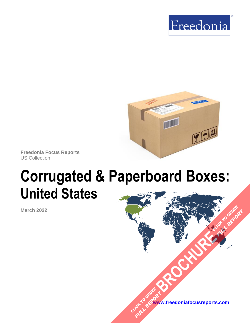



**Freedonia Focus Reports** US Collection

# **Corrugated & Paperboard Boxes: United States**

**March 2022**

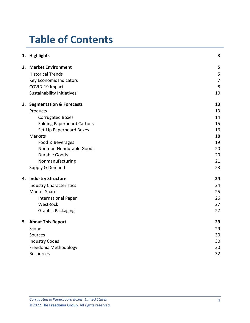## **Table of Contents**

|    | 1. Highlights                       | 3              |
|----|-------------------------------------|----------------|
|    | 2. Market Environment               | 5              |
|    | <b>Historical Trends</b>            | 5              |
|    | Key Economic Indicators             | $\overline{7}$ |
|    | COVID-19 Impact                     | 8              |
|    | <b>Sustainability Initiatives</b>   | 10             |
| 3. | <b>Segmentation &amp; Forecasts</b> | 13             |
|    | Products                            | 13             |
|    | <b>Corrugated Boxes</b>             | 14             |
|    | <b>Folding Paperboard Cartons</b>   | 15             |
|    | Set-Up Paperboard Boxes             | 16             |
|    | <b>Markets</b>                      | 18             |
|    | Food & Beverages                    | 19             |
|    | Nonfood Nondurable Goods            | 20             |
|    | <b>Durable Goods</b>                | 20             |
|    | Nonmanufacturing                    | 21             |
|    | Supply & Demand                     | 23             |
|    | 4. Industry Structure               | 24             |
|    | <b>Industry Characteristics</b>     | 24             |
|    | <b>Market Share</b>                 | 25             |
|    | <b>International Paper</b>          | 26             |
|    | WestRock                            | 27             |
|    | <b>Graphic Packaging</b>            | 27             |
|    | 5. About This Report                | 29             |
|    | Scope                               | 29             |
|    | Sources                             | 30             |
|    | <b>Industry Codes</b>               | 30             |
|    | Freedonia Methodology               | 30             |
|    | Resources                           | 32             |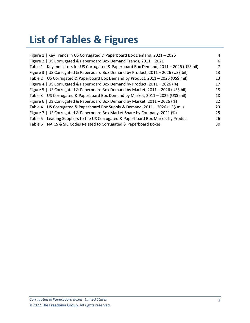## **List of Tables & Figures**

| Figure 1   Key Trends in US Corrugated & Paperboard Box Demand, 2021 - 2026                | 4              |
|--------------------------------------------------------------------------------------------|----------------|
| Figure 2   US Corrugated & Paperboard Box Demand Trends, 2011 - 2021                       | 6              |
| Table 1   Key Indicators for US Corrugated & Paperboard Box Demand, 2011 - 2026 (US\$ bil) | $\overline{7}$ |
| Figure 3   US Corrugated & Paperboard Box Demand by Product, 2011 - 2026 (US\$ bil)        | 13             |
| Table 2   US Corrugated & Paperboard Box Demand by Product, 2011 - 2026 (US\$ mil)         | 13             |
| Figure 4   US Corrugated & Paperboard Box Demand by Product, 2011 - 2026 (%)               | 17             |
| Figure 5   US Corrugated & Paperboard Box Demand by Market, 2011 - 2026 (US\$ bil)         | 18             |
| Table 3   US Corrugated & Paperboard Box Demand by Market, 2011 - 2026 (US\$ mil)          | 18             |
| Figure 6   US Corrugated & Paperboard Box Demand by Market, 2011 - 2026 (%)                | 22             |
| Table 4   US Corrugated & Paperboard Box Supply & Demand, 2011 - 2026 (US\$ mil)           | 23             |
| Figure 7   US Corrugated & Paperboard Box Market Share by Company, 2021 (%)                | 25             |
| Table 5   Leading Suppliers to the US Corrugated & Paperboard Box Market by Product        | 26             |
| Table 6   NAICS & SIC Codes Related to Corrugated & Paperboard Boxes                       | 30             |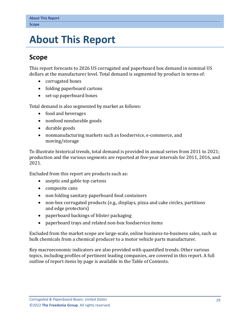## <span id="page-3-0"></span>**5. About This Report**

### <span id="page-3-1"></span>**Scope**

This report forecasts to 2026 US corrugated and paperboard box demand in nominal US dollars at the manufacturer level. Total demand is segmented by product in terms of:

- corrugated boxes
- folding paperboard cartons
- set-up paperboard boxes

Total demand is also segmented by market as follows:

- food and beverages
- nonfood nondurable goods
- durable goods
- nonmanufacturing markets such as foodservice, e-commerce, and moving/storage

To illustrate historical trends, total demand is provided in annual series from 2011 to 2021; production and the various segments are reported at five-year intervals for 2011, 2016, and 2021.

Excluded from this report are products such as:

- aseptic and gable top cartons
- composite cans
- non folding sanitary paperboard food containers
- non-box corrugated products (e.g., displays, pizza and cake circles, partitions and edge protectors)
- paperboard backings of blister packaging
- paperboard trays and related non-box foodservice items

Excluded from the market scope are large-scale, online business-to-business sales, such as bulk chemicals from a chemical producer to a motor vehicle parts manufacturer.

Key macroeconomic indicators are also provided with quantified trends. Other various topics, including profiles of pertinent leading companies, are covered in this report. A full outline of report items by page is available in the Table of Contents.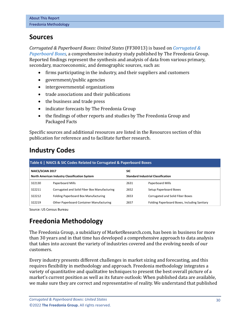### <span id="page-4-0"></span>**Sources**

*Corrugated & Paperboard Boxes: United States* (FF30013) is based on *[Corrugated &](http://www.freedoniagroup.com/DocumentDetails.aspx?ReferrerId=FL-FOCUS&studyid=4292)  [Paperboard Boxes,](http://www.freedoniagroup.com/DocumentDetails.aspx?ReferrerId=FL-FOCUS&studyid=4292)* a comprehensive industry study published by The Freedonia Group. Reported findings represent the synthesis and analysis of data from various primary, secondary, macroeconomic, and demographic sources, such as:

- firms participating in the industry, and their suppliers and customers
- government/public agencies
- intergovernmental organizations
- trade associations and their publications
- the business and trade press
- indicator forecasts by The Freedonia Group
- the findings of other reports and studies by The Freedonia Group and Packaged Facts

Specific sources and additional resources are listed in the Resources section of this publication for reference and to facilitate further research.

## <span id="page-4-1"></span>**Industry Codes**

<span id="page-4-3"></span>

| Table 6   NAICS & SIC Codes Related to Corrugated & Paperboard Boxes |                                              |                                                         |                                              |        |                  |      |                  |
|----------------------------------------------------------------------|----------------------------------------------|---------------------------------------------------------|----------------------------------------------|--------|------------------|------|------------------|
| NAICS/SCIAN 2017<br>North American Industry Classification System    |                                              | <b>SIC</b><br><b>Standard Industrial Classification</b> |                                              |        |                  |      |                  |
|                                                                      |                                              |                                                         |                                              | 322130 | Paperboard Mills | 2631 | Paperboard Mills |
| 322211                                                               | Corrugated and Solid Fiber Box Manufacturing | 2652                                                    | Setup Paperboard Boxes                       |        |                  |      |                  |
| 322212                                                               | Folding Paperboard Box Manufacturing         | 2653                                                    | <b>Corrugated and Solid Fiber Boxes</b>      |        |                  |      |                  |
| 322219                                                               | Other Paperboard Container Manufacturing     | 2657                                                    | Folding Paperboard Boxes, Including Sanitary |        |                  |      |                  |

Source: US Census Bureau

## <span id="page-4-2"></span>**Freedonia Methodology**

The Freedonia Group, a subsidiary of MarketResearch.com, has been in business for more than 30 years and in that time has developed a comprehensive approach to data analysis that takes into account the variety of industries covered and the evolving needs of our customers.

Every industry presents different challenges in market sizing and forecasting, and this requires flexibility in methodology and approach. Freedonia methodology integrates a variety of quantitative and qualitative techniques to present the best overall picture of a market's current position as well as its future outlook: When published data are available, we make sure they are correct and representative of reality. We understand that published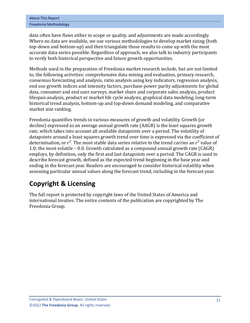| <b>About This Report</b> |  |
|--------------------------|--|
| Freedonia Methodology    |  |

data often have flaws either in scope or quality, and adjustments are made accordingly. Where no data are available, we use various methodologies to develop market sizing (both top-down and bottom-up) and then triangulate those results to come up with the most accurate data series possible. Regardless of approach, we also talk to industry participants to verify both historical perspective and future growth opportunities.

Methods used in the preparation of Freedonia market research include, but are not limited to, the following activities: comprehensive data mining and evaluation, primary research, consensus forecasting and analysis, ratio analysis using key indicators, regression analysis, end use growth indices and intensity factors, purchase power parity adjustments for global data, consumer and end user surveys, market share and corporate sales analysis, product lifespan analysis, product or market life cycle analysis, graphical data modeling, long-term historical trend analysis, bottom-up and top-down demand modeling, and comparative market size ranking.

Freedonia quantifies trends in various measures of growth and volatility. Growth (or decline) expressed as an average annual growth rate (AAGR) is the least squares growth rate, which takes into account all available datapoints over a period. The volatility of datapoints around a least squares growth trend over time is expressed via the coefficient of determination, or  $r^2$ . The most stable data series relative to the trend carries an  $r^2$  value of 1.0; the most volatile – 0.0. Growth calculated as a compound annual growth rate (CAGR) employs, by definition, only the first and last datapoints over a period. The CAGR is used to describe forecast growth, defined as the expected trend beginning in the base year and ending in the forecast year. Readers are encouraged to consider historical volatility when assessing particular annual values along the forecast trend, including in the forecast year.

### **Copyright & Licensing**

The full report is protected by copyright laws of the United States of America and international treaties. The entire contents of the publication are copyrighted by The Freedonia Group.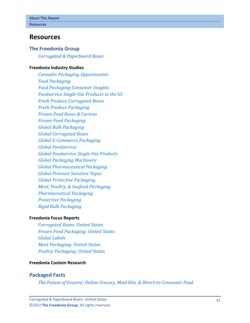#### <span id="page-6-0"></span>**Resources**

#### **The Freedonia Group**

*[Corrugated & Paperboard Boxes](http://www.freedoniagroup.com/DocumentDetails.aspx?ReferrerId=FL-FOCUS&studyid=4292)*

#### **[Freedonia Industry Studies](http://www.freedoniagroup.com/Home.aspx?ReferrerId=FL-Focus)**

*[Cannabis Packaging Opportunities](https://www.freedoniagroup.com/DocumentDetails.aspx?ReferrerId=FL-FOCUS&StudyId=3773) [Food Packaging](https://www.freedoniagroup.com/DocumentDetails.aspx?ReferrerId=FL-FOCUS&StudyId=4149) [Food Packaging Consumer Insights](https://www.freedoniagroup.com/DocumentDetails.aspx?ReferrerId=FL-FOCUS&StudyId=4339) [Foodservice Single-Use Products in the US](https://www.freedoniagroup.com/DocumentDetails.aspx?ReferrerId=FL-FOCUS&StudyId=3774) [Fresh Produce Corrugated Boxes](https://www.freedoniagroup.com/DocumentDetails.aspx?ReferrerId=FL-FOCUS&StudyId=4169) [Fresh Produce Packaging](https://www.freedoniagroup.com/DocumentDetails.aspx?ReferrerId=FL-FOCUS&StudyId=4048) [Frozen Food Boxes & Cartons](https://www.freedoniagroup.com/DocumentDetails.aspx?ReferrerId=FL-FOCUS&StudyId=4108) [Frozen Food Packaging](https://www.freedoniagroup.com/DocumentDetails.aspx?ReferrerId=FL-FOCUS&StudyId=3966) [Global Bulk Packaging](https://www.freedoniagroup.com/DocumentDetails.aspx?ReferrerId=FL-FOCUS&StudyId=3612) [Global Corrugated Boxes](https://www.freedoniagroup.com/DocumentDetails.aspx?ReferrerId=FL-FOCUS&StudyId=3737) [Global E-Commerce Packaging](https://www.freedoniagroup.com/DocumentDetails.aspx?ReferrerId=FL-FOCUS&StudyId=3744) [Global Foodservice](https://www.freedoniagroup.com/DocumentDetails.aspx?ReferrerId=FL-FOCUS&StudyId=3817) [Global Foodservice Single-Use Products](https://www.freedoniagroup.com/DocumentDetails.aspx?ReferrerId=FL-FOCUS&StudyId=3829) [Global Packaging Machinery](https://www.freedoniagroup.com/DocumentDetails.aspx?ReferrerId=FL-FOCUS&StudyId=4307) [Global Pharmaceutical Packaging](https://www.freedoniagroup.com/DocumentDetails.aspx?ReferrerId=FL-FOCUS&StudyId=4215) [Global Pressure Sensitive Tapes](https://www.freedoniagroup.com/DocumentDetails.aspx?ReferrerId=FL-FOCUS&StudyId=4145) [Global Protective Packaging](https://www.freedoniagroup.com/DocumentDetails.aspx?ReferrerId=FL-FOCUS&StudyId=3741) [Meat, Poultry, & Seafood Packaging](https://www.freedoniagroup.com/DocumentDetails.aspx?ReferrerId=FL-FOCUS&StudyId=3787) [Pharmaceutical Packaging](https://www.freedoniagroup.com/DocumentDetails.aspx?ReferrerId=FL-FOCUS&StudyId=3816) [Protective Packaging](https://www.freedoniagroup.com/DocumentDetails.aspx?ReferrerId=FL-FOCUS&StudyId=3797) [Rigid Bulk Packaging](https://www.freedoniagroup.com/DocumentDetails.aspx?ReferrerId=FL-FOCUS&StudyId=3704)*

#### **[Freedonia Focus Reports](https://www.freedoniafocusreports.com/redirect.asp?progid=89534&url=/)**

*[Corrugated Boxes: United States](https://www.freedoniafocusreports.com/Corrugated-Boxes-United-States-FF30047/?progid=89534) [Frozen Food Packaging: United States](https://www.freedoniafocusreports.com/Frozen-Food-Packaging-United-States-FF30037/?progid=89534) [Global Labels](https://www.freedoniafocusreports.com/Global-Labels-FW30023/?progid=89534) [Meat Packaging: United States](https://www.freedoniafocusreports.com/Meat-Packaging-United-States-FF30063/?progid=89534) [Poultry Packaging: United States](https://www.freedoniafocusreports.com/Poultry-Packaging-United-States-FF30064/?progid=89534)*

#### **[Freedonia Custom Research](http://www.freedoniagroup.com/CustomResearch.aspx?ReferrerId=FL-Focus)**

#### **Packaged Facts**

*[The Future of Grocery: Online Grocery, Meal Kits, & Direct-to-Consumer Food](https://www.packagedfacts.com/Future-Grocery-Online-Meal-Kits-Direct-Consumer-Food-14809208/?progid=89534)*